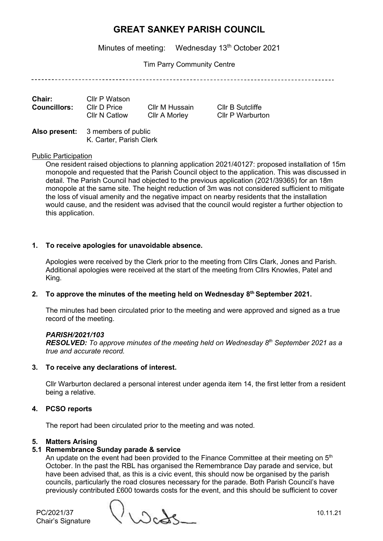Minutes of meeting: Wednesday 13<sup>th</sup> October 2021

Tim Parry Community Centre

| Chair:              | Cllr P Watson        |                |                  |
|---------------------|----------------------|----------------|------------------|
| <b>Councillors:</b> | Cllr D Price         | Cllr M Hussain | Cllr B Sutcliffe |
|                     | <b>CIIr N Catlow</b> | Cllr A Morley  | Cllr P Warburton |

**Also present:** 3 members of public K. Carter, Parish Clerk

#### Public Participation

One resident raised objections to planning application 2021/40127: proposed installation of 15m monopole and requested that the Parish Council object to the application. This was discussed in detail. The Parish Council had objected to the previous application (2021/39365) for an 18m monopole at the same site. The height reduction of 3m was not considered sufficient to mitigate the loss of visual amenity and the negative impact on nearby residents that the installation would cause, and the resident was advised that the council would register a further objection to this application.

### **1. To receive apologies for unavoidable absence.**

Apologies were received by the Clerk prior to the meeting from Cllrs Clark, Jones and Parish. Additional apologies were received at the start of the meeting from Cllrs Knowles, Patel and King.

### **2. To approve the minutes of the meeting held on Wednesday 8 th September 2021.**

The minutes had been circulated prior to the meeting and were approved and signed as a true record of the meeting.

### *PARISH/2021/103*

*RESOLVED: To approve minutes of the meeting held on Wednesday 8 th September 2021 as a true and accurate record.*

### **3. To receive any declarations of interest.**

Cllr Warburton declared a personal interest under agenda item 14, the first letter from a resident being a relative.

### **4. PCSO reports**

The report had been circulated prior to the meeting and was noted.

### **5. Matters Arising**

### **5.1 Remembrance Sunday parade & service**

An update on the event had been provided to the Finance Committee at their meeting on  $5<sup>th</sup>$ October. In the past the RBL has organised the Remembrance Day parade and service, but have been advised that, as this is a civic event, this should now be organised by the parish councils, particularly the road closures necessary for the parade. Both Parish Council's have previously contributed £600 towards costs for the event, and this should be sufficient to cover

Chair's Signature

 $PC/2021/37$ <br>Chair's Signature  $\bigvee \bigcup \bigcirc \bigcirc \bigcirc \bigcirc$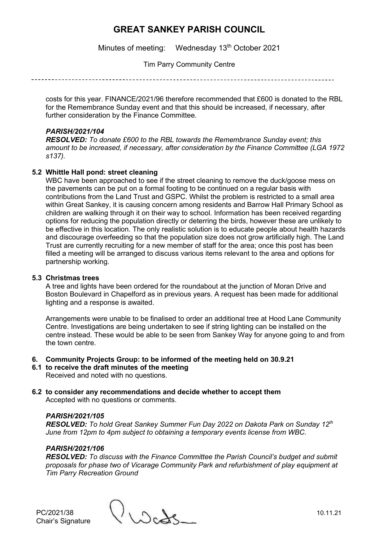Minutes of meeting: Wednesday 13<sup>th</sup> October 2021

Tim Parry Community Centre

costs for this year. FINANCE/2021/96 therefore recommended that £600 is donated to the RBL for the Remembrance Sunday event and that this should be increased, if necessary, after further consideration by the Finance Committee.

### *PARISH/2021/104*

*RESOLVED: To donate £600 to the RBL towards the Remembrance Sunday event; this amount to be increased, if necessary, after consideration by the Finance Committee (LGA 1972 s137).*

### **5.2 Whittle Hall pond: street cleaning**

WBC have been approached to see if the street cleaning to remove the duck/goose mess on the pavements can be put on a formal footing to be continued on a regular basis with contributions from the Land Trust and GSPC. Whilst the problem is restricted to a small area within Great Sankey, it is causing concern among residents and Barrow Hall Primary School as children are walking through it on their way to school. Information has been received regarding options for reducing the population directly or deterring the birds, however these are unlikely to be effective in this location. The only realistic solution is to educate people about health hazards and discourage overfeeding so that the population size does not grow artificially high. The Land Trust are currently recruiting for a new member of staff for the area; once this post has been filled a meeting will be arranged to discuss various items relevant to the area and options for partnership working.

### **5.3 Christmas trees**

A tree and lights have been ordered for the roundabout at the junction of Moran Drive and Boston Boulevard in Chapelford as in previous years. A request has been made for additional lighting and a response is awaited.

Arrangements were unable to be finalised to order an additional tree at Hood Lane Community Centre. Investigations are being undertaken to see if string lighting can be installed on the centre instead. These would be able to be seen from Sankey Way for anyone going to and from the town centre.

- **6. Community Projects Group: to be informed of the meeting held on 30.9.21**
- **6.1 to receive the draft minutes of the meeting** Received and noted with no questions.
- **6.2 to consider any recommendations and decide whether to accept them** Accepted with no questions or comments.

### *PARISH/2021/105*

*RESOLVED: To hold Great Sankey Summer Fun Day 2022 on Dakota Park on Sunday 12th June from 12pm to 4pm subject to obtaining a temporary events license from WBC.*

### *PARISH/2021/106*

*RESOLVED: To discuss with the Finance Committee the Parish Council's budget and submit proposals for phase two of Vicarage Community Park and refurbishment of play equipment at Tim Parry Recreation Ground*

PC/2021/38  $\bigcup_{\Delta \subset \Delta} \bigcup_{\Delta \subset \Delta}$  10.11.21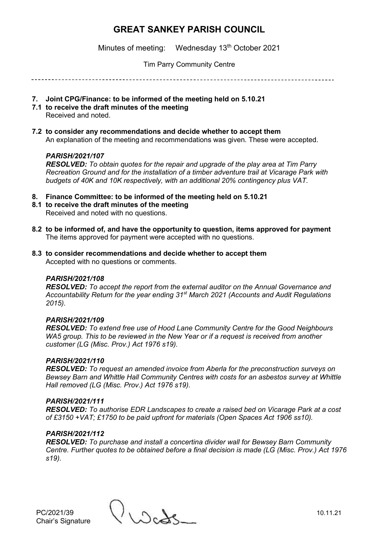Minutes of meeting: Wednesday 13<sup>th</sup> October 2021

Tim Parry Community Centre

- **7. Joint CPG/Finance: to be informed of the meeting held on 5.10.21**
- **7.1 to receive the draft minutes of the meeting**
	- Received and noted.
- **7.2 to consider any recommendations and decide whether to accept them** An explanation of the meeting and recommendations was given. These were accepted.

### *PARISH/2021/107*

*RESOLVED: To obtain quotes for the repair and upgrade of the play area at Tim Parry Recreation Ground and for the installation of a timber adventure trail at Vicarage Park with budgets of 40K and 10K respectively, with an additional 20% contingency plus VAT.*

- **8. Finance Committee: to be informed of the meeting held on 5.10.21**
- **8.1 to receive the draft minutes of the meeting** Received and noted with no questions.
- **8.2 to be informed of, and have the opportunity to question, items approved for payment** The items approved for payment were accepted with no questions.
- **8.3 to consider recommendations and decide whether to accept them** Accepted with no questions or comments.

### *PARISH/2021/108*

*RESOLVED: To accept the report from the external auditor on the Annual Governance and Accountability Return for the year ending 31st March 2021 (Accounts and Audit Regulations 2015).*

### *PARISH/2021/109*

*RESOLVED: To extend free use of Hood Lane Community Centre for the Good Neighbours WA5 group. This to be reviewed in the New Year or if a request is received from another customer (LG (Misc. Prov.) Act 1976 s19).*

### *PARISH/2021/110*

*RESOLVED: To request an amended invoice from Aberla for the preconstruction surveys on Bewsey Barn and Whittle Hall Community Centres with costs for an asbestos survey at Whittle Hall removed (LG (Misc. Prov.) Act 1976 s19).*

### *PARISH/2021/111*

*RESOLVED: To authorise EDR Landscapes to create a raised bed on Vicarage Park at a cost of £3150 +VAT; £1750 to be paid upfront for materials (Open Spaces Act 1906 ss10).*

### *PARISH/2021/112*

*RESOLVED: To purchase and install a concertina divider wall for Bewsey Barn Community Centre. Further quotes to be obtained before a final decision is made (LG (Misc. Prov.) Act 1976 s19).*

Chair's Signature

PC/2021/39  $\bigcup_{\Delta \in \Delta} \bigcup_{\Delta \in \Delta}$  10.11.21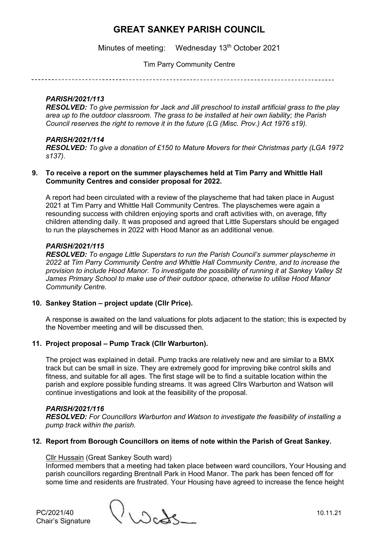Minutes of meeting: Wednesday 13<sup>th</sup> October 2021

Tim Parry Community Centre

### *PARISH/2021/113*

*RESOLVED: To give permission for Jack and Jill preschool to install artificial grass to the play area up to the outdoor classroom. The grass to be installed at heir own liability; the Parish Council reserves the right to remove it in the future (LG (Misc. Prov.) Act 1976 s19).*

### *PARISH/2021/114*

*RESOLVED: To give a donation of £150 to Mature Movers for their Christmas party (LGA 1972 s137).*

#### **9. To receive a report on the summer playschemes held at Tim Parry and Whittle Hall Community Centres and consider proposal for 2022.**

A report had been circulated with a review of the playscheme that had taken place in August 2021 at Tim Parry and Whittle Hall Community Centres. The playschemes were again a resounding success with children enjoying sports and craft activities with, on average, fifty children attending daily. It was proposed and agreed that Little Superstars should be engaged to run the playschemes in 2022 with Hood Manor as an additional venue.

### *PARISH/2021/115*

*RESOLVED: To engage Little Superstars to run the Parish Council's summer playscheme in 2022 at Tim Parry Community Centre and Whittle Hall Community Centre, and to increase the provision to include Hood Manor. To investigate the possibility of running it at Sankey Valley St James Primary School to make use of their outdoor space, otherwise to utilise Hood Manor Community Centre.*

### **10. Sankey Station – project update (Cllr Price).**

A response is awaited on the land valuations for plots adjacent to the station; this is expected by the November meeting and will be discussed then.

### **11. Project proposal – Pump Track (Cllr Warburton).**

The project was explained in detail. Pump tracks are relatively new and are similar to a BMX track but can be small in size. They are extremely good for improving bike control skills and fitness, and suitable for all ages. The first stage will be to find a suitable location within the parish and explore possible funding streams. It was agreed Cllrs Warburton and Watson will continue investigations and look at the feasibility of the proposal.

### *PARISH/2021/116*

*RESOLVED: For Councillors Warburton and Watson to investigate the feasibility of installing a pump track within the parish.* 

### **12. Report from Borough Councillors on items of note within the Parish of Great Sankey.**

### Cllr Hussain (Great Sankey South ward)

Informed members that a meeting had taken place between ward councillors, Your Housing and parish councillors regarding Brentnall Park in Hood Manor. The park has been fenced off for some time and residents are frustrated. Your Housing have agreed to increase the fence height

Chair's Signature

 $PC/2021/40$  10.11.21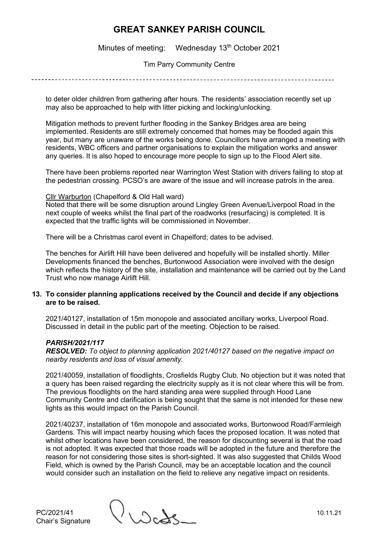Minutes of meeting: Wednesday 13<sup>th</sup> October 2021

Tim Parry Community Centre

to deter older children from gathering after hours. The residents' association recently set up may also be approached to help with litter picking and locking/unlocking.

Mitigation methods to prevent further flooding in the Sankey Bridges area are being implemented. Residents are still extremely concerned that homes may be flooded again this year, but many are unaware of the works being done. Councillors have arranged a meeting with residents, WBC officers and partner organisations to explain the mitigation works and answer any queries. It is also hoped to encourage more people to sign up to the Flood Alert site.

There have been problems reported near Warrington West Station with drivers failing to stop at the pedestrian crossing. PCSO's are aware of the issue and will increase patrols in the area.

#### Cllr Warburton (Chapelford & Old Hall ward)

Noted that there will be some disruption around Lingley Green Avenue/Liverpool Road in the next couple of weeks whilst the final part of the roadworks (resurfacing) is completed. It is expected that the traffic lights will be commissioned in November.

There will be a Christmas carol event in Chapelford; dates to be advised.

The benches for Airlift Hill have been delivered and hopefully will be installed shortly. Miller Developments financed the benches, Burtonwood Association were involved with the design which reflects the history of the site, installation and maintenance will be carried out by the Land Trust who now manage Airlift Hill.

#### **13. To consider planning applications received by the Council and decide if any objections are to be raised.**

2021/40127, installation of 15m monopole and associated ancillary works, Liverpool Road. Discussed in detail in the public part of the meeting. Objection to be raised.

### *PARISH/2021/117*

*RESOLVED: To object to planning application 2021/40127 based on the negative impact on nearby residents and loss of visual amenity.*

2021/40059, installation of floodlights, Crosfields Rugby Club. No objection but it was noted that a query has been raised regarding the electricity supply as it is not clear where this will be from. The previous floodlights on the hard standing area were supplied through Hood Lane Community Centre and clarification is being sought that the same is not intended for these new lights as this would impact on the Parish Council.

2021/40237, installation of 16m monopole and associated works, Burtonwood Road/Farmleigh Gardens. This will impact nearby housing which faces the proposed location. It was noted that whilst other locations have been considered, the reason for discounting several is that the road is not adopted. It was expected that those roads will be adopted in the future and therefore the reason for not considering those sites is short-sighted. It was also suggested that Childs Wood Field, which is owned by the Parish Council, may be an acceptable location and the council would consider such an installation on the field to relieve any negative impact on residents.

PC/2021/41 10.11.21